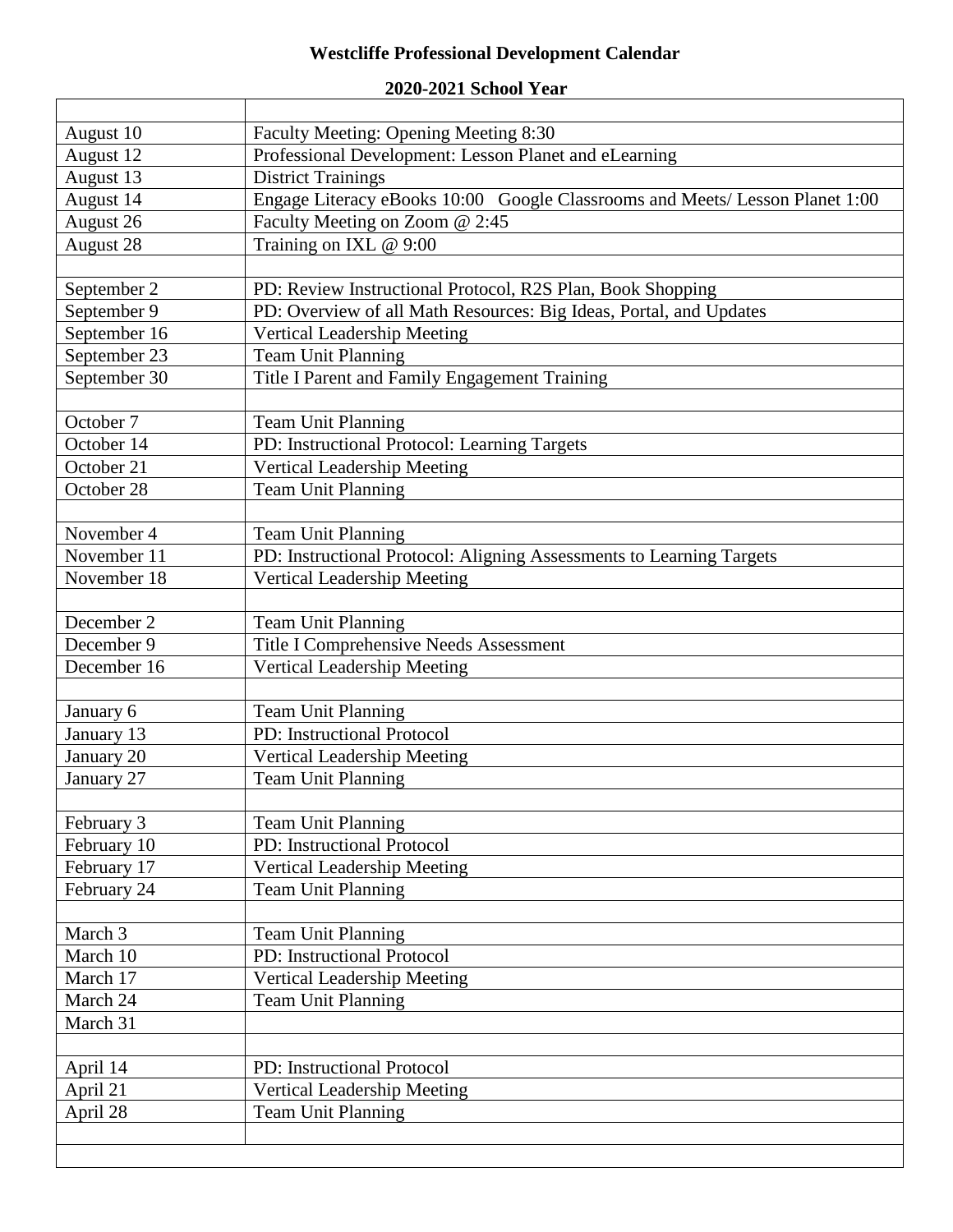## **Westcliffe Professional Development Calendar**

| August 10    | Faculty Meeting: Opening Meeting 8:30                                        |
|--------------|------------------------------------------------------------------------------|
| August 12    | Professional Development: Lesson Planet and eLearning                        |
| August 13    | <b>District Trainings</b>                                                    |
| August 14    | Engage Literacy eBooks 10:00 Google Classrooms and Meets/ Lesson Planet 1:00 |
| August 26    | Faculty Meeting on Zoom @ 2:45                                               |
| August 28    | Training on IXL @ 9:00                                                       |
|              |                                                                              |
| September 2  | PD: Review Instructional Protocol, R2S Plan, Book Shopping                   |
| September 9  | PD: Overview of all Math Resources: Big Ideas, Portal, and Updates           |
| September 16 | Vertical Leadership Meeting                                                  |
| September 23 | Team Unit Planning                                                           |
| September 30 | Title I Parent and Family Engagement Training                                |
|              |                                                                              |
| October 7    | Team Unit Planning                                                           |
| October 14   | PD: Instructional Protocol: Learning Targets                                 |
| October 21   | <b>Vertical Leadership Meeting</b>                                           |
| October 28   | <b>Team Unit Planning</b>                                                    |
|              |                                                                              |
| November 4   | Team Unit Planning                                                           |
| November 11  | PD: Instructional Protocol: Aligning Assessments to Learning Targets         |
| November 18  | Vertical Leadership Meeting                                                  |
|              |                                                                              |
| December 2   | Team Unit Planning                                                           |
| December 9   | Title I Comprehensive Needs Assessment                                       |
| December 16  | Vertical Leadership Meeting                                                  |
|              |                                                                              |
| January 6    | Team Unit Planning                                                           |
| January 13   | PD: Instructional Protocol                                                   |
| January 20   | Vertical Leadership Meeting                                                  |
| January 27   | <b>Team Unit Planning</b>                                                    |
|              |                                                                              |
| February 3   | Team Unit Planning                                                           |
| February 10  | PD: Instructional Protocol                                                   |
| February 17  | Vertical Leadership Meeting                                                  |
| February 24  | <b>Team Unit Planning</b>                                                    |
|              |                                                                              |
| March 3      | Team Unit Planning                                                           |
| March 10     | PD: Instructional Protocol                                                   |
| March 17     | Vertical Leadership Meeting                                                  |
| March 24     | <b>Team Unit Planning</b>                                                    |
| March 31     |                                                                              |
|              |                                                                              |
| April 14     | PD: Instructional Protocol                                                   |
| April 21     | Vertical Leadership Meeting                                                  |
| April 28     | <b>Team Unit Planning</b>                                                    |
|              |                                                                              |
|              |                                                                              |
|              |                                                                              |